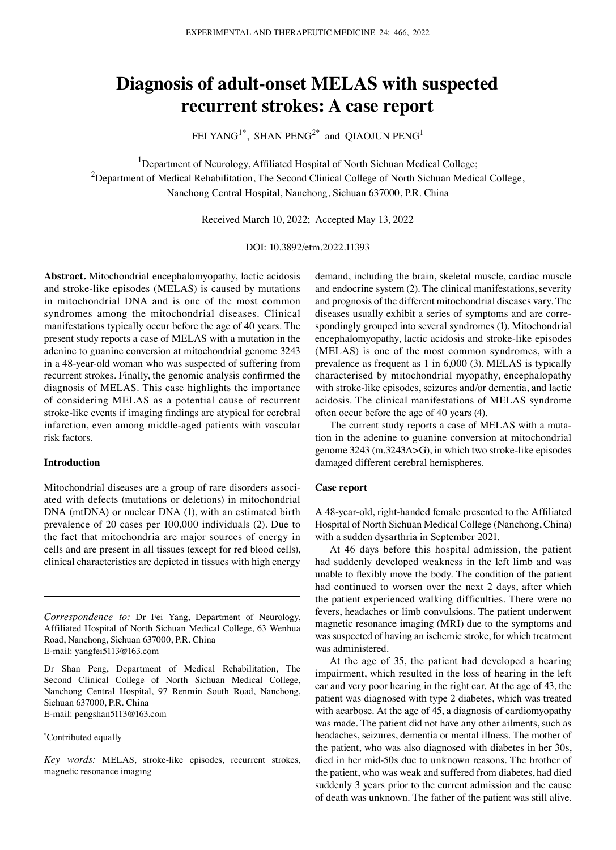# **Diagnosis of adult‑onset MELAS with suspected recurrent strokes: A case report**

FEI YANG<sup>1\*</sup>, SHAN  $PENG^{2*}$  and OIAOJUN  $PENG^{1*}$ 

<sup>1</sup>Department of Neurology, Affiliated Hospital of North Sichuan Medical College; <sup>2</sup>Department of Medical Rehabilitation, The Second Clinical College of North Sichuan Medical College, Nanchong Central Hospital, Nanchong, Sichuan 637000, P.R. China

Received March 10, 2022; Accepted May 13, 2022

DOI: 10.3892/etm.2022.11393

**Abstract.** Mitochondrial encephalomyopathy, lactic acidosis and stroke-like episodes (MELAS) is caused by mutations in mitochondrial DNA and is one of the most common syndromes among the mitochondrial diseases. Clinical manifestations typically occur before the age of 40 years. The present study reports a case of MELAS with a mutation in the adenine to guanine conversion at mitochondrial genome 3243 in a 48‑year‑old woman who was suspected of suffering from recurrent strokes. Finally, the genomic analysis confirmed the diagnosis of MELAS. This case highlights the importance of considering MELAS as a potential cause of recurrent stroke-like events if imaging findings are atypical for cerebral infarction, even among middle‑aged patients with vascular risk factors.

## **Introduction**

Mitochondrial diseases are a group of rare disorders associated with defects (mutations or deletions) in mitochondrial DNA (mtDNA) or nuclear DNA (1), with an estimated birth prevalence of 20 cases per 100,000 individuals (2). Due to the fact that mitochondria are major sources of energy in cells and are present in all tissues (except for red blood cells), clinical characteristics are depicted in tissues with high energy

*Correspondence to:* Dr Fei Yang, Department of Neurology, Affiliated Hospital of North Sichuan Medical College, 63 Wenhua Road, Nanchong, Sichuan 637000, P.R. China E‑mail: yangfei5113@163.com

Dr Shan Peng, Department of Medical Rehabilitation, The Second Clinical College of North Sichuan Medical College, Nanchong Central Hospital, 97 Renmin South Road, Nanchong, Sichuan 637000, P.R. China

E‑mail: pengshan5113@163.com

#### \* Contributed equally

*Key words:* MELAS, stroke‑like episodes, recurrent strokes, magnetic resonance imaging

demand, including the brain, skeletal muscle, cardiac muscle and endocrine system (2). The clinical manifestations, severity and prognosis of the different mitochondrial diseases vary. The diseases usually exhibit a series of symptoms and are correspondingly grouped into several syndromes (1). Mitochondrial encephalomyopathy, lactic acidosis and stroke-like episodes (MELAS) is one of the most common syndromes, with a prevalence as frequent as 1 in 6,000 (3). MELAS is typically characterised by mitochondrial myopathy, encephalopathy with stroke-like episodes, seizures and/or dementia, and lactic acidosis. The clinical manifestations of MELAS syndrome often occur before the age of 40 years (4).

The current study reports a case of MELAS with a mutation in the adenine to guanine conversion at mitochondrial genome 3243 (m.3243A>G), in which two stroke‑like episodes damaged different cerebral hemispheres.

#### **Case report**

A 48‑year‑old, right‑handed female presented to the Affiliated Hospital of North Sichuan Medical College (Nanchong, China) with a sudden dysarthria in September 2021.

At 46 days before this hospital admission, the patient had suddenly developed weakness in the left limb and was unable to flexibly move the body. The condition of the patient had continued to worsen over the next 2 days, after which the patient experienced walking difficulties. There were no fevers, headaches or limb convulsions. The patient underwent magnetic resonance imaging (MRI) due to the symptoms and was suspected of having an ischemic stroke, for which treatment was administered.

At the age of 35, the patient had developed a hearing impairment, which resulted in the loss of hearing in the left ear and very poor hearing in the right ear. At the age of 43, the patient was diagnosed with type 2 diabetes, which was treated with acarbose. At the age of 45, a diagnosis of cardiomyopathy was made. The patient did not have any other ailments, such as headaches, seizures, dementia or mental illness. The mother of the patient, who was also diagnosed with diabetes in her 30s, died in her mid‑50s due to unknown reasons. The brother of the patient, who was weak and suffered from diabetes, had died suddenly 3 years prior to the current admission and the cause of death was unknown. The father of the patient was still alive.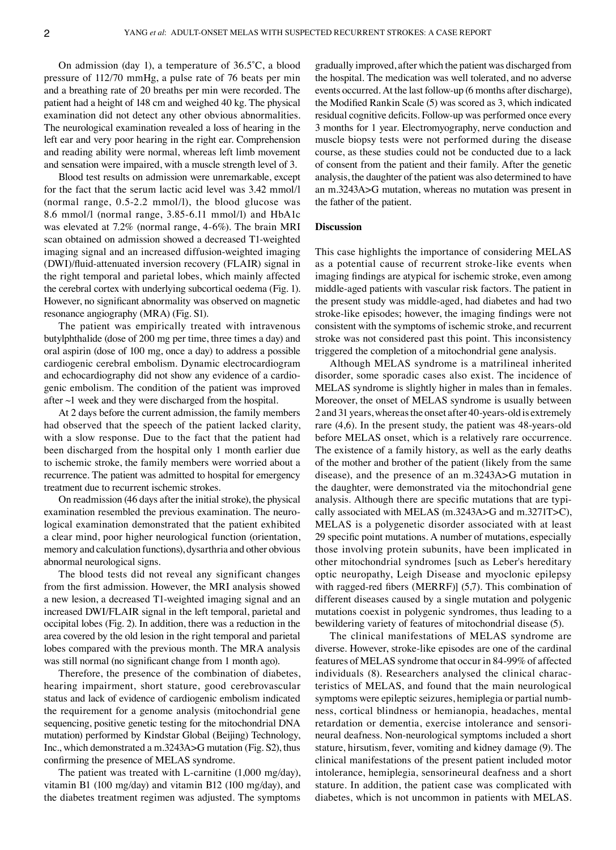On admission (day 1), a temperature of 36.5˚C, a blood pressure of 112/70 mmHg, a pulse rate of 76 beats per min and a breathing rate of 20 breaths per min were recorded. The patient had a height of 148 cm and weighed 40 kg. The physical examination did not detect any other obvious abnormalities. The neurological examination revealed a loss of hearing in the left ear and very poor hearing in the right ear. Comprehension and reading ability were normal, whereas left limb movement and sensation were impaired, with a muscle strength level of 3.

Blood test results on admission were unremarkable, except for the fact that the serum lactic acid level was 3.42 mmol/l (normal range, 0.5‑2.2 mmol/l), the blood glucose was 8.6 mmol/l (normal range, 3.85‑6.11 mmol/l) and HbA1c was elevated at 7.2% (normal range, 4‑6%). The brain MRI scan obtained on admission showed a decreased T1‑weighted imaging signal and an increased diffusion‑weighted imaging (DWI)/fluid‑attenuated inversion recovery (FLAIR) signal in the right temporal and parietal lobes, which mainly affected the cerebral cortex with underlying subcortical oedema (Fig. 1). However, no significant abnormality was observed on magnetic resonance angiography (MRA) (Fig. S1).

The patient was empirically treated with intravenous butylphthalide (dose of 200 mg per time, three times a day) and oral aspirin (dose of 100 mg, once a day) to address a possible cardiogenic cerebral embolism. Dynamic electrocardiogram and echocardiography did not show any evidence of a cardiogenic embolism. The condition of the patient was improved after ~1 week and they were discharged from the hospital.

At 2 days before the current admission, the family members had observed that the speech of the patient lacked clarity, with a slow response. Due to the fact that the patient had been discharged from the hospital only 1 month earlier due to ischemic stroke, the family members were worried about a recurrence. The patient was admitted to hospital for emergency treatment due to recurrent ischemic strokes.

On readmission (46 days after the initial stroke), the physical examination resembled the previous examination. The neurological examination demonstrated that the patient exhibited a clear mind, poor higher neurological function (orientation, memory and calculation functions), dysarthria and other obvious abnormal neurological signs.

The blood tests did not reveal any significant changes from the first admission. However, the MRI analysis showed a new lesion, a decreased T1‑weighted imaging signal and an increased DWI/FLAIR signal in the left temporal, parietal and occipital lobes (Fig. 2). In addition, there was a reduction in the area covered by the old lesion in the right temporal and parietal lobes compared with the previous month. The MRA analysis was still normal (no significant change from 1 month ago).

Therefore, the presence of the combination of diabetes, hearing impairment, short stature, good cerebrovascular status and lack of evidence of cardiogenic embolism indicated the requirement for a genome analysis (mitochondrial gene sequencing, positive genetic testing for the mitochondrial DNA mutation) performed by Kindstar Global (Beijing) Technology, Inc., which demonstrated a m.3243A>G mutation (Fig. S2), thus confirming the presence of MELAS syndrome.

The patient was treated with L-carnitine  $(1,000 \text{ mg/day})$ , vitamin B1 (100 mg/day) and vitamin B12 (100 mg/day), and the diabetes treatment regimen was adjusted. The symptoms gradually improved, after which the patient was discharged from the hospital. The medication was well tolerated, and no adverse events occurred. At the last follow‑up (6 months after discharge), the Modified Rankin Scale (5) was scored as 3, which indicated residual cognitive deficits. Follow‑up was performed once every 3 months for 1 year. Electromyography, nerve conduction and muscle biopsy tests were not performed during the disease course, as these studies could not be conducted due to a lack of consent from the patient and their family. After the genetic analysis, the daughter of the patient was also determined to have an m.3243A>G mutation, whereas no mutation was present in the father of the patient.

### **Discussion**

This case highlights the importance of considering MELAS as a potential cause of recurrent stroke-like events when imaging findings are atypical for ischemic stroke, even among middle‑aged patients with vascular risk factors. The patient in the present study was middle‑aged, had diabetes and had two stroke-like episodes; however, the imaging findings were not consistent with the symptoms of ischemic stroke, and recurrent stroke was not considered past this point. This inconsistency triggered the completion of a mitochondrial gene analysis.

Although MELAS syndrome is a matrilineal inherited disorder, some sporadic cases also exist. The incidence of MELAS syndrome is slightly higher in males than in females. Moreover, the onset of MELAS syndrome is usually between 2 and 31 years, whereas the onset after 40‑years‑old is extremely rare (4,6). In the present study, the patient was 48-years-old before MELAS onset, which is a relatively rare occurrence. The existence of a family history, as well as the early deaths of the mother and brother of the patient (likely from the same disease), and the presence of an m.3243A>G mutation in the daughter, were demonstrated via the mitochondrial gene analysis. Although there are specific mutations that are typically associated with MELAS (m.3243A>G and m.3271T>C), MELAS is a polygenetic disorder associated with at least 29 specific point mutations. A number of mutations, especially those involving protein subunits, have been implicated in other mitochondrial syndromes [such as Leber's hereditary optic neuropathy, Leigh Disease and myoclonic epilepsy with ragged-red fibers (MERRF)] (5,7). This combination of different diseases caused by a single mutation and polygenic mutations coexist in polygenic syndromes, thus leading to a bewildering variety of features of mitochondrial disease (5).

The clinical manifestations of MELAS syndrome are diverse. However, stroke‑like episodes are one of the cardinal features of MELAS syndrome that occur in 84‑99% of affected individuals (8). Researchers analysed the clinical characteristics of MELAS, and found that the main neurological symptoms were epileptic seizures, hemiplegia or partial numbness, cortical blindness or hemianopia, headaches, mental retardation or dementia, exercise intolerance and sensorineural deafness. Non‑neurological symptoms included a short stature, hirsutism, fever, vomiting and kidney damage (9). The clinical manifestations of the present patient included motor intolerance, hemiplegia, sensorineural deafness and a short stature. In addition, the patient case was complicated with diabetes, which is not uncommon in patients with MELAS.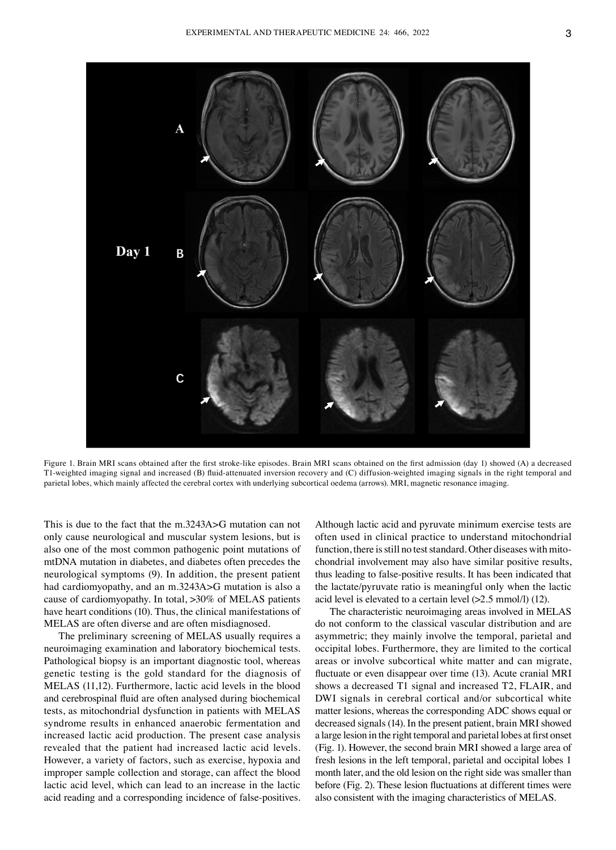

Figure 1. Brain MRI scans obtained after the first stroke-like episodes. Brain MRI scans obtained on the first admission (day 1) showed (A) a decreased T1-weighted imaging signal and increased (B) fluid-attenuated inversion recovery and (C) diffusion-weighted imaging signals in the right temporal and parietal lobes, which mainly affected the cerebral cortex with underlying subcortical oedema (arrows). MRI, magnetic resonance imaging.

This is due to the fact that the m.3243A>G mutation can not only cause neurological and muscular system lesions, but is also one of the most common pathogenic point mutations of mtDNA mutation in diabetes, and diabetes often precedes the neurological symptoms (9). In addition, the present patient had cardiomyopathy, and an m.3243A>G mutation is also a cause of cardiomyopathy. In total, >30% of MELAS patients have heart conditions (10). Thus, the clinical manifestations of MELAS are often diverse and are often misdiagnosed.

The preliminary screening of MELAS usually requires a neuroimaging examination and laboratory biochemical tests. Pathological biopsy is an important diagnostic tool, whereas genetic testing is the gold standard for the diagnosis of MELAS (11,12). Furthermore, lactic acid levels in the blood and cerebrospinal fluid are often analysed during biochemical tests, as mitochondrial dysfunction in patients with MELAS syndrome results in enhanced anaerobic fermentation and increased lactic acid production. The present case analysis revealed that the patient had increased lactic acid levels. However, a variety of factors, such as exercise, hypoxia and improper sample collection and storage, can affect the blood lactic acid level, which can lead to an increase in the lactic acid reading and a corresponding incidence of false-positives.

Although lactic acid and pyruvate minimum exercise tests are often used in clinical practice to understand mitochondrial function, there is still no test standard. Other diseases with mitochondrial involvement may also have similar positive results, thus leading to false‑positive results. It has been indicated that the lactate/pyruvate ratio is meaningful only when the lactic acid level is elevated to a certain level (>2.5 mmol/l) (12).

The characteristic neuroimaging areas involved in MELAS do not conform to the classical vascular distribution and are asymmetric; they mainly involve the temporal, parietal and occipital lobes. Furthermore, they are limited to the cortical areas or involve subcortical white matter and can migrate, fluctuate or even disappear over time (13). Acute cranial MRI shows a decreased T1 signal and increased T2, FLAIR, and DWI signals in cerebral cortical and/or subcortical white matter lesions, whereas the corresponding ADC shows equal or decreased signals (14). In the present patient, brain MRI showed a large lesion in the right temporal and parietal lobes at first onset (Fig. 1). However, the second brain MRI showed a large area of fresh lesions in the left temporal, parietal and occipital lobes 1 month later, and the old lesion on the right side was smaller than before (Fig. 2). These lesion fluctuations at different times were also consistent with the imaging characteristics of MELAS.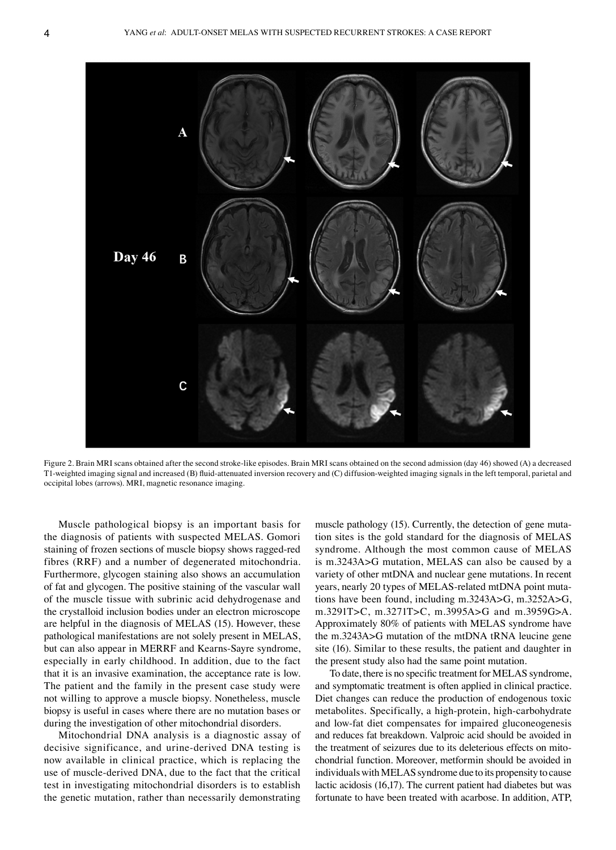

Figure 2. Brain MRI scans obtained after the second stroke-like episodes. Brain MRI scans obtained on the second admission (day 46) showed (A) a decreased T1-weighted imaging signal and increased (B) fluid-attenuated inversion recovery and (C) diffusion-weighted imaging signals in the left temporal, parietal and occipital lobes (arrows). MRI, magnetic resonance imaging.

Muscle pathological biopsy is an important basis for the diagnosis of patients with suspected MELAS. Gomori staining of frozen sections of muscle biopsy shows ragged-red fibres (RRF) and a number of degenerated mitochondria. Furthermore, glycogen staining also shows an accumulation of fat and glycogen. The positive staining of the vascular wall of the muscle tissue with subrinic acid dehydrogenase and the crystalloid inclusion bodies under an electron microscope are helpful in the diagnosis of MELAS (15). However, these pathological manifestations are not solely present in MELAS, but can also appear in MERRF and Kearns‑Sayre syndrome, especially in early childhood. In addition, due to the fact that it is an invasive examination, the acceptance rate is low. The patient and the family in the present case study were not willing to approve a muscle biopsy. Nonetheless, muscle biopsy is useful in cases where there are no mutation bases or during the investigation of other mitochondrial disorders.

Mitochondrial DNA analysis is a diagnostic assay of decisive significance, and urine‑derived DNA testing is now available in clinical practice, which is replacing the use of muscle-derived DNA, due to the fact that the critical test in investigating mitochondrial disorders is to establish the genetic mutation, rather than necessarily demonstrating muscle pathology (15). Currently, the detection of gene mutation sites is the gold standard for the diagnosis of MELAS syndrome. Although the most common cause of MELAS is m.3243A>G mutation, MELAS can also be caused by a variety of other mtDNA and nuclear gene mutations. In recent years, nearly 20 types of MELAS-related mtDNA point mutations have been found, including m.3243A>G, m.3252A>G, m.3291T>C, m.3271T>C, m.3995A>G and m.3959G>A. Approximately 80% of patients with MELAS syndrome have the m.3243A>G mutation of the mtDNA tRNA leucine gene site (16). Similar to these results, the patient and daughter in the present study also had the same point mutation.

To date, there is no specific treatment for MELAS syndrome, and symptomatic treatment is often applied in clinical practice. Diet changes can reduce the production of endogenous toxic metabolites. Specifically, a high-protein, high-carbohydrate and low‑fat diet compensates for impaired gluconeogenesis and reduces fat breakdown. Valproic acid should be avoided in the treatment of seizures due to its deleterious effects on mitochondrial function. Moreover, metformin should be avoided in individuals with MELAS syndrome due to its propensity to cause lactic acidosis (16,17). The current patient had diabetes but was fortunate to have been treated with acarbose. In addition, ATP,